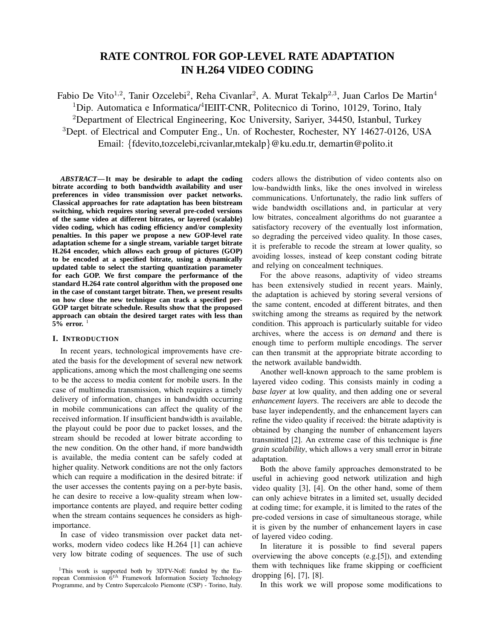# **RATE CONTROL FOR GOP-LEVEL RATE ADAPTATION IN H.264 VIDEO CODING**

Fabio De Vito<sup>1,2</sup>, Tanir Ozcelebi<sup>2</sup>, Reha Civanlar<sup>2</sup>, A. Murat Tekalp<sup>2,3</sup>, Juan Carlos De Martin<sup>4</sup> <sup>1</sup>Dip. Automatica e Informatica/<sup>4</sup>IEIIT-CNR, Politecnico di Torino, 10129, Torino, Italy <sup>2</sup>Department of Electrical Engineering, Koc University, Sariyer, 34450, Istanbul, Turkey <sup>3</sup>Dept. of Electrical and Computer Eng., Un. of Rochester, Rochester, NY 14627-0126, USA Email: {fdevito,tozcelebi,rcivanlar,mtekalp}@ku.edu.tr, demartin@polito.it

*ABSTRACT***—It may be desirable to adapt the coding bitrate according to both bandwidth availability and user preferences in video transmission over packet networks. Classical approaches for rate adaptation has been bitstream switching, which requires storing several pre-coded versions of the same video at different bitrates, or layered (scalable) video coding, which has coding efficiency and/or complexity penalties. In this paper we propose a new GOP-level rate adaptation scheme for a single stream, variable target bitrate H.264 encoder, which allows each group of pictures (GOP) to be encoded at a specified bitrate, using a dynamically updated table to select the starting quantization parameter for each GOP. We first compare the performance of the standard H.264 rate control algorithm with the proposed one in the case of constant target bitrate. Then, we present results on how close the new technique can track a specified per-GOP target bitrate schedule. Results show that the proposed approach can obtain the desired target rates with less than 5% error.** 1

# **I. INTRODUCTION**

In recent years, technological improvements have created the basis for the development of several new network applications, among which the most challenging one seems to be the access to media content for mobile users. In the case of multimedia transmission, which requires a timely delivery of information, changes in bandwidth occurring in mobile communications can affect the quality of the received information. If insufficient bandwidth is available, the playout could be poor due to packet losses, and the stream should be recoded at lower bitrate according to the new condition. On the other hand, if more bandwidth is available, the media content can be safely coded at higher quality. Network conditions are not the only factors which can require a modification in the desired bitrate: if the user accesses the contents paying on a per-byte basis, he can desire to receive a low-quality stream when lowimportance contents are played, and require better coding when the stream contains sequences he considers as highimportance.

In case of video transmission over packet data networks, modern video codecs like H.264 [1] can achieve very low bitrate coding of sequences. The use of such coders allows the distribution of video contents also on low-bandwidth links, like the ones involved in wireless communications. Unfortunately, the radio link suffers of wide bandwidth oscillations and, in particular at very low bitrates, concealment algorithms do not guarantee a satisfactory recovery of the eventually lost information, so degrading the perceived video quality. In those cases, it is preferable to recode the stream at lower quality, so avoiding losses, instead of keep constant coding bitrate and relying on concealment techniques.

For the above reasons, adaptivity of video streams has been extensively studied in recent years. Mainly, the adaptation is achieved by storing several versions of the same content, encoded at different bitrates, and then switching among the streams as required by the network condition. This approach is particularly suitable for video archives, where the access is *on demand* and there is enough time to perform multiple encodings. The server can then transmit at the appropriate bitrate according to the network available bandwidth.

Another well-known approach to the same problem is layered video coding. This consists mainly in coding a *base layer* at low quality, and then adding one or several *enhancement layers*. The receivers are able to decode the base layer independently, and the enhancement layers can refine the video quality if received: the bitrate adaptivity is obtained by changing the number of enhancement layers transmitted [2]. An extreme case of this technique is *fine grain scalability*, which allows a very small error in bitrate adaptation.

Both the above family approaches demonstrated to be useful in achieving good network utilization and high video quality [3], [4]. On the other hand, some of them can only achieve bitrates in a limited set, usually decided at coding time; for example, it is limited to the rates of the pre-coded versions in case of simultaneous storage, while it is given by the number of enhancement layers in case of layered video coding.

In literature it is possible to find several papers overviewing the above concepts (e.g.[5]), and extending them with techniques like frame skipping or coefficient dropping [6], [7], [8].

In this work we will propose some modifications to

<sup>&</sup>lt;sup>1</sup>This work is supported both by 3DTV-NoE funded by the European Commission  $6^{th}$  Framework Information Society Technology Programme, and by Centro Supercalcolo Piemonte (CSP) - Torino, Italy.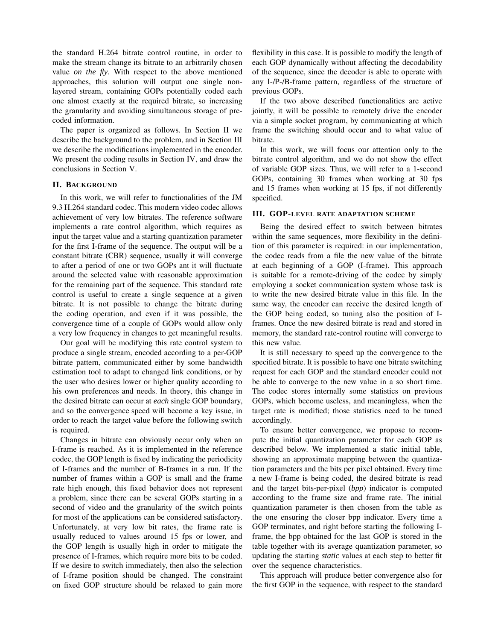the standard H.264 bitrate control routine, in order to make the stream change its bitrate to an arbitrarily chosen value *on the fly*. With respect to the above mentioned approaches, this solution will output one single nonlayered stream, containing GOPs potentially coded each one almost exactly at the required bitrate, so increasing the granularity and avoiding simultaneous storage of precoded information.

The paper is organized as follows. In Section II we describe the background to the problem, and in Section III we describe the modifications implemented in the encoder. We present the coding results in Section IV, and draw the conclusions in Section V.

## **II. BACKGROUND**

In this work, we will refer to functionalities of the JM 9.3 H.264 standard codec. This modern video codec allows achievement of very low bitrates. The reference software implements a rate control algorithm, which requires as input the target value and a starting quantization parameter for the first I-frame of the sequence. The output will be a constant bitrate (CBR) sequence, usually it will converge to after a period of one or two GOPs ant it will fluctuate around the selected value with reasonable approximation for the remaining part of the sequence. This standard rate control is useful to create a single sequence at a given bitrate. It is not possible to change the bitrate during the coding operation, and even if it was possible, the convergence time of a couple of GOPs would allow only a very low frequency in changes to get meaningful results.

Our goal will be modifying this rate control system to produce a single stream, encoded according to a per-GOP bitrate pattern, communicated either by some bandwidth estimation tool to adapt to changed link conditions, or by the user who desires lower or higher quality according to his own preferences and needs. In theory, this change in the desired bitrate can occur at *each* single GOP boundary, and so the convergence speed will become a key issue, in order to reach the target value before the following switch is required.

Changes in bitrate can obviously occur only when an I-frame is reached. As it is implemented in the reference codec, the GOP length is fixed by indicating the periodicity of I-frames and the number of B-frames in a run. If the number of frames within a GOP is small and the frame rate high enough, this fixed behavior does not represent a problem, since there can be several GOPs starting in a second of video and the granularity of the switch points for most of the applications can be considered satisfactory. Unfortunately, at very low bit rates, the frame rate is usually reduced to values around 15 fps or lower, and the GOP length is usually high in order to mitigate the presence of I-frames, which require more bits to be coded. If we desire to switch immediately, then also the selection of I-frame position should be changed. The constraint on fixed GOP structure should be relaxed to gain more

flexibility in this case. It is possible to modify the length of each GOP dynamically without affecting the decodability of the sequence, since the decoder is able to operate with any I-/P-/B-frame pattern, regardless of the structure of previous GOPs.

If the two above described functionalities are active jointly, it will be possible to remotely drive the encoder via a simple socket program, by communicating at which frame the switching should occur and to what value of bitrate.

In this work, we will focus our attention only to the bitrate control algorithm, and we do not show the effect of variable GOP sizes. Thus, we will refer to a 1-second GOPs, containing 30 frames when working at 30 fps and 15 frames when working at 15 fps, if not differently specified.

# **III. GOP-LEVEL RATE ADAPTATION SCHEME**

Being the desired effect to switch between bitrates within the same sequences, more flexibility in the definition of this parameter is required: in our implementation, the codec reads from a file the new value of the bitrate at each beginning of a GOP (I-frame). This approach is suitable for a remote-driving of the codec by simply employing a socket communication system whose task is to write the new desired bitrate value in this file. In the same way, the encoder can receive the desired length of the GOP being coded, so tuning also the position of Iframes. Once the new desired bitrate is read and stored in memory, the standard rate-control routine will converge to this new value.

It is still necessary to speed up the convergence to the specified bitrate. It is possible to have one bitrate switching request for each GOP and the standard encoder could not be able to converge to the new value in a so short time. The codec stores internally some statistics on previous GOPs, which become useless, and meaningless, when the target rate is modified; those statistics need to be tuned accordingly.

To ensure better convergence, we propose to recompute the initial quantization parameter for each GOP as described below. We implemented a static initial table, showing an approximate mapping between the quantization parameters and the bits per pixel obtained. Every time a new I-frame is being coded, the desired bitrate is read and the target bits-per-pixel (*bpp*) indicator is computed according to the frame size and frame rate. The initial quantization parameter is then chosen from the table as the one ensuring the closer bpp indicator. Every time a GOP terminates, and right before starting the following Iframe, the bpp obtained for the last GOP is stored in the table together with its average quantization parameter, so updating the starting *static* values at each step to better fit over the sequence characteristics.

This approach will produce better convergence also for the first GOP in the sequence, with respect to the standard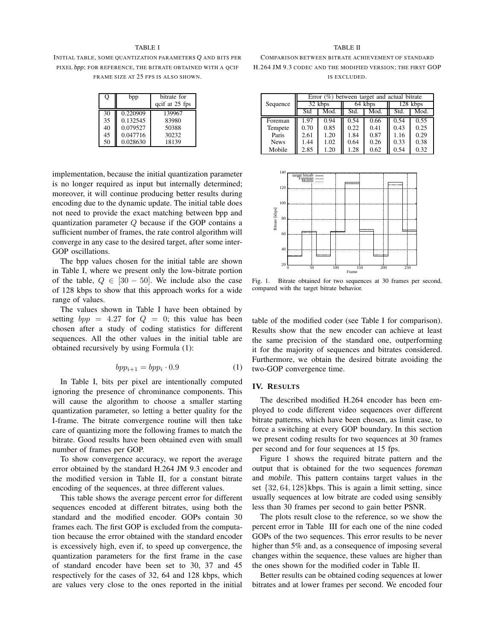### TABLE I

INITIAL TABLE, SOME QUANTIZATION PARAMETERS *Q* AND BITS PER PIXEL *bpp*; FOR REFERENCE, THE BITRATE OBTAINED WITH A QCIF FRAME SIZE AT 25 FPS IS ALSO SHOWN.

| Q  | bpp      | bitrate for<br>qcif at 25 fps |
|----|----------|-------------------------------|
| 30 | 0.220909 | 139967                        |
| 35 | 0.132545 | 83980                         |
| 40 | 0.079527 | 50388                         |
| 45 | 0.047716 | 30232                         |
| 50 | 0.028630 | 18139                         |

implementation, because the initial quantization parameter is no longer required as input but internally determined; moreover, it will continue producing better results during encoding due to the dynamic update. The initial table does not need to provide the exact matching between bpp and quantization parameter  $Q$  because if the GOP contains a sufficient number of frames, the rate control algorithm will converge in any case to the desired target, after some inter-GOP oscillations.

The bpp values chosen for the initial table are shown in Table I, where we present only the low-bitrate portion of the table,  $Q \in [30 - 50]$ . We include also the case of 128 kbps to show that this approach works for a wide range of values.

The values shown in Table I have been obtained by setting  $bpp = 4.27$  for  $Q = 0$ ; this value has been chosen after a study of coding statistics for different sequences. All the other values in the initial table are obtained recursively by using Formula (1):

$$
bpp_{i+1} = bpp_i \cdot 0.9\tag{1}
$$

In Table I, bits per pixel are intentionally computed ignoring the presence of chrominance components. This will cause the algorithm to choose a smaller starting quantization parameter, so letting a better quality for the I-frame. The bitrate convergence routine will then take care of quantizing more the following frames to match the bitrate. Good results have been obtained even with small number of frames per GOP.

To show convergence accuracy, we report the average error obtained by the standard H.264 JM 9.3 encoder and the modified version in Table II, for a constant bitrate encoding of the sequences, at three different values.

This table shows the average percent error for different sequences encoded at different bitrates, using both the standard and the modified encoder. GOPs contain 30 frames each. The first GOP is excluded from the computation because the error obtained with the standard encoder is excessively high, even if, to speed up convergence, the quantization parameters for the first frame in the case of standard encoder have been set to 30, 37 and 45 respectively for the cases of 32, 64 and 128 kbps, which are values very close to the ones reported in the initial

#### TABLE II

COMPARISON BETWEEN BITRATE ACHIEVEMENT OF STANDARD H.264 JM 9.3 CODEC AND THE MODIFIED VERSION; THE FIRST GOP IS EXCLUDED.

|             |      |         |      | Error $(\%)$ between target and actual bitrate |      |            |
|-------------|------|---------|------|------------------------------------------------|------|------------|
| Sequence    |      | 32 kbps |      | 64 kbps                                        |      | $128$ kbps |
|             | Std  | Mod.    | Std. | Mod.                                           | Std. | Mod.       |
| Foreman     | 1.97 | 0.94    | 0.54 | 0.66                                           | 0.54 | 0.55       |
| Tempete     | 0.70 | 0.85    | 0.22 | 0.41                                           | 0.43 | 0.25       |
| Paris       | 2.61 | 1.20    | 1.84 | 0.87                                           | 1.16 | 0.29       |
| <b>News</b> | 1.44 | 1.02    | 0.64 | 0.26                                           | 0.33 | 0.38       |
| Mobile      | 2.85 | 1.20    | 1.28 | 0.62                                           | 0.54 | 0.32       |



Fig. 1. Bitrate obtained for two sequences at 30 frames per second, compared with the target bitrate behavior.

table of the modified coder (see Table I for comparison). Results show that the new encoder can achieve at least the same precision of the standard one, outperforming it for the majority of sequences and bitrates considered. Furthermore, we obtain the desired bitrate avoiding the two-GOP convergence time.

# **IV. RESULTS**

The described modified H.264 encoder has been employed to code different video sequences over different bitrate patterns, which have been chosen, as limit case, to force a switching at every GOP boundary. In this section we present coding results for two sequences at 30 frames per second and for four sequences at 15 fps.

Figure 1 shows the required bitrate pattern and the output that is obtained for the two sequences *foreman* and *mobile*. This pattern contains target values in the set {32, 64, 128}kbps. This is again a limit setting, since usually sequences at low bitrate are coded using sensibly less than 30 frames per second to gain better PSNR.

The plots result close to the reference, so we show the percent error in Table III for each one of the nine coded GOPs of the two sequences. This error results to be never higher than 5% and, as a consequence of imposing several changes within the sequence, these values are higher than the ones shown for the modified coder in Table II.

Better results can be obtained coding sequences at lower bitrates and at lower frames per second. We encoded four